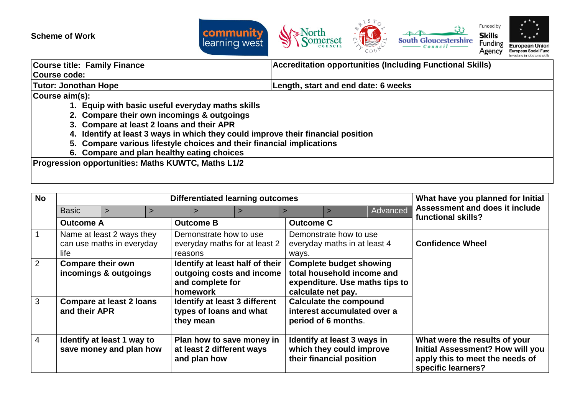

| <b>Course title: Family Finance</b>                                              | <b>Accreditation opportunities (Including Functional Skills)</b> |  |  |  |
|----------------------------------------------------------------------------------|------------------------------------------------------------------|--|--|--|
| Course code:                                                                     |                                                                  |  |  |  |
| Tutor: Jonothan Hope                                                             | Length, start and end date: 6 weeks                              |  |  |  |
| Course aim(s):                                                                   |                                                                  |  |  |  |
| 1. Equip with basic useful everyday maths skills                                 |                                                                  |  |  |  |
| 2. Compare their own incomings & outgoings                                       |                                                                  |  |  |  |
| 3. Compare at least 2 loans and their APR                                        |                                                                  |  |  |  |
| 4. Identify at least 3 ways in which they could improve their financial position |                                                                  |  |  |  |
| 5. Compare various lifestyle choices and their financial implications            |                                                                  |  |  |  |
| C. Campara and plan boolthy opting shaigas                                       |                                                                  |  |  |  |

**6. Compare and plan healthy eating choices**

**Progression opportunities: Maths KUWTC, Maths L1/2**

| <b>No</b>      | <b>Differentiated learning outcomes</b>                        |                                                       |   |                                   |                                                              |                                                                                                                      | What have you planned for Initial                       |                              |                                                                                                                                   |
|----------------|----------------------------------------------------------------|-------------------------------------------------------|---|-----------------------------------|--------------------------------------------------------------|----------------------------------------------------------------------------------------------------------------------|---------------------------------------------------------|------------------------------|-----------------------------------------------------------------------------------------------------------------------------------|
|                | <b>Basic</b>                                                   | $\geq$                                                | ⋗ | $\geq$                            |                                                              |                                                                                                                      |                                                         | Advanced                     | Assessment and does it include                                                                                                    |
|                | <b>Outcome A</b>                                               |                                                       |   | <b>Outcome B</b>                  |                                                              | <b>Outcome C</b>                                                                                                     |                                                         |                              | functional skills?                                                                                                                |
|                | Name at least 2 ways they<br>can use maths in everyday<br>life |                                                       |   | Demonstrate how to use<br>reasons | everyday maths for at least 2                                | ways.                                                                                                                | Demonstrate how to use                                  | everyday maths in at least 4 | <b>Confidence Wheel</b>                                                                                                           |
| $\overline{2}$ | <b>Compare their own</b><br>incomings & outgoings              |                                                       |   | and complete for<br>homework      | Identify at least half of their<br>outgoing costs and income | <b>Complete budget showing</b><br>total household income and<br>expenditure. Use maths tips to<br>calculate net pay. |                                                         |                              |                                                                                                                                   |
| 3              | and their APR                                                  | <b>Compare at least 2 loans</b>                       |   | they mean                         | Identify at least 3 different<br>types of loans and what     |                                                                                                                      | <b>Calculate the compound</b><br>period of 6 months.    | interest accumulated over a  |                                                                                                                                   |
| $\overline{4}$ |                                                                | Identify at least 1 way to<br>save money and plan how |   | and plan how                      | Plan how to save money in<br>at least 2 different ways       |                                                                                                                      | Identify at least 3 ways in<br>their financial position | which they could improve     | What were the results of your<br><b>Initial Assessment? How will you</b><br>apply this to meet the needs of<br>specific learners? |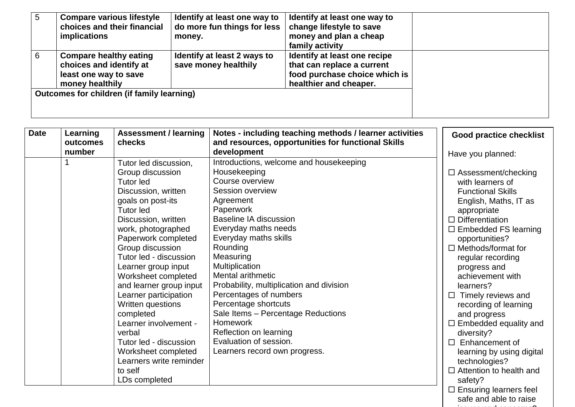| 5 | <b>Compare various lifestyle</b><br>choices and their financial<br><i>implications</i>               | Identify at least one way to<br>do more fun things for less<br>money. | Identify at least one way to<br>change lifestyle to save<br>money and plan a cheap<br>family activity                 |  |
|---|------------------------------------------------------------------------------------------------------|-----------------------------------------------------------------------|-----------------------------------------------------------------------------------------------------------------------|--|
| 6 | <b>Compare healthy eating</b><br>choices and identify at<br>least one way to save<br>money healthily | Identify at least 2 ways to<br>save money healthily                   | Identify at least one recipe<br>that can replace a current<br>food purchase choice which is<br>healthier and cheaper. |  |
|   | Outcomes for children (if family learning)                                                           |                                                                       |                                                                                                                       |  |

| <b>Date</b> | Learning | <b>Assessment / learning</b> | Notes - including teaching methods / learner activities | <b>Good practice checklist</b> |
|-------------|----------|------------------------------|---------------------------------------------------------|--------------------------------|
|             | outcomes | checks                       | and resources, opportunities for functional Skills      |                                |
|             | number   |                              | development                                             | Have you planned:              |
|             |          | Tutor led discussion,        | Introductions, welcome and housekeeping                 |                                |
|             |          | Group discussion             | Housekeeping                                            | $\Box$ Assessment/checking     |
|             |          | <b>Tutor led</b>             | Course overview                                         | with learners of               |
|             |          | Discussion, written          | <b>Session overview</b>                                 | <b>Functional Skills</b>       |
|             |          | goals on post-its            | Agreement                                               | English, Maths, IT as          |
|             |          | <b>Tutor led</b>             | Paperwork                                               | appropriate                    |
|             |          | Discussion, written          | Baseline IA discussion                                  | $\Box$ Differentiation         |
|             |          | work, photographed           | Everyday maths needs                                    | $\Box$ Embedded FS learning    |
|             |          | Paperwork completed          | Everyday maths skills                                   | opportunities?                 |
|             |          | Group discussion             | Rounding                                                | $\Box$ Methods/format for      |
|             |          | Tutor led - discussion       | Measuring                                               | regular recording              |
|             |          | Learner group input          | Multiplication                                          | progress and                   |
|             |          | Worksheet completed          | Mental arithmetic                                       | achievement with               |
|             |          | and learner group input      | Probability, multiplication and division                | learners?                      |
|             |          | Learner participation        | Percentages of numbers                                  | Timely reviews and<br>$\Box$   |
|             |          | Written questions            | Percentage shortcuts                                    | recording of learning          |
|             |          | completed                    | Sale Items - Percentage Reductions                      | and progress                   |
|             |          | Learner involvement -        | <b>Homework</b>                                         | $\Box$ Embedded equality and   |
|             |          | verbal                       | Reflection on learning                                  | diversity?                     |
|             |          | Tutor led - discussion       | Evaluation of session.                                  | Enhancement of<br>$\Box$       |
|             |          | Worksheet completed          | Learners record own progress.                           | learning by using digital      |
|             |          | Learners write reminder      |                                                         | technologies?                  |
|             |          | to self                      |                                                         | $\Box$ Attention to health and |
|             |          | LDs completed                |                                                         | safety?                        |
|             |          |                              |                                                         | $\Box$ Ensuring learners feel  |

safe and able to raise issues and concerns?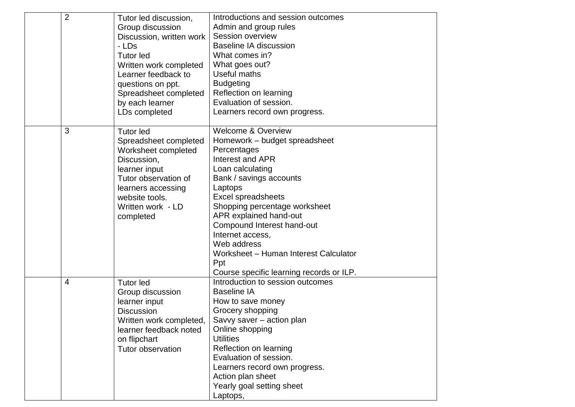| $\overline{2}$ | Tutor led discussion,<br>Group discussion<br>Discussion, written work<br>- LDs<br><b>Tutor led</b><br>Written work completed<br>Learner feedback to<br>questions on ppt.<br>Spreadsheet completed<br>by each learner<br>LDs completed | Introductions and session outcomes<br>Admin and group rules<br>Session overview<br><b>Baseline IA discussion</b><br>What comes in?<br>What goes out?<br>Useful maths<br><b>Budgeting</b><br>Reflection on learning<br>Evaluation of session.<br>Learners record own progress.                                                                                                                                    |
|----------------|---------------------------------------------------------------------------------------------------------------------------------------------------------------------------------------------------------------------------------------|------------------------------------------------------------------------------------------------------------------------------------------------------------------------------------------------------------------------------------------------------------------------------------------------------------------------------------------------------------------------------------------------------------------|
| 3              | <b>Tutor led</b><br>Spreadsheet completed<br>Worksheet completed<br>Discussion,<br>learner input<br>Tutor observation of<br>learners accessing<br>website tools.<br>Written work - LD<br>completed                                    | <b>Welcome &amp; Overview</b><br>Homework - budget spreadsheet<br>Percentages<br>Interest and APR<br>Loan calculating<br>Bank / savings accounts<br>Laptops<br><b>Excel spreadsheets</b><br>Shopping percentage worksheet<br>APR explained hand-out<br>Compound Interest hand-out<br>Internet access,<br>Web address<br>Worksheet - Human Interest Calculator<br>Ppt<br>Course specific learning records or ILP. |
| 4              | <b>Tutor led</b><br>Group discussion<br>learner input<br><b>Discussion</b><br>Written work completed,<br>learner feedback noted<br>on flipchart<br><b>Tutor observation</b>                                                           | Introduction to session outcomes<br><b>Baseline IA</b><br>How to save money<br>Grocery shopping<br>Savvy saver - action plan<br>Online shopping<br><b>Utilities</b><br>Reflection on learning<br>Evaluation of session.<br>Learners record own progress.<br>Action plan sheet<br>Yearly goal setting sheet<br>Laptops,                                                                                           |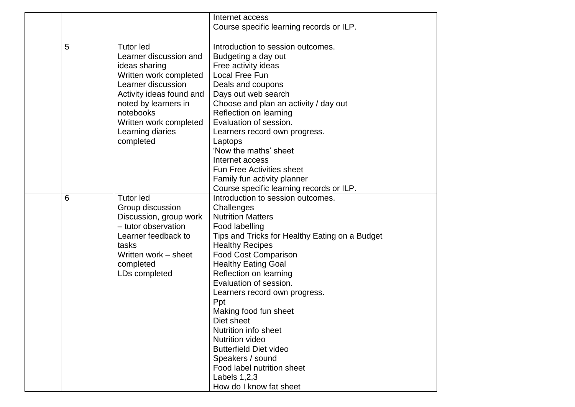|   |                          | Internet access                                |
|---|--------------------------|------------------------------------------------|
|   |                          | Course specific learning records or ILP.       |
|   |                          |                                                |
| 5 | <b>Tutor led</b>         | Introduction to session outcomes.              |
|   | Learner discussion and   |                                                |
|   |                          | Budgeting a day out                            |
|   | ideas sharing            | Free activity ideas                            |
|   | Written work completed   | Local Free Fun                                 |
|   | Learner discussion       | Deals and coupons                              |
|   | Activity ideas found and | Days out web search                            |
|   | noted by learners in     | Choose and plan an activity / day out          |
|   | notebooks                | Reflection on learning                         |
|   | Written work completed   | Evaluation of session.                         |
|   | Learning diaries         | Learners record own progress.                  |
|   | completed                | Laptops                                        |
|   |                          | 'Now the maths' sheet                          |
|   |                          | Internet access                                |
|   |                          | <b>Fun Free Activities sheet</b>               |
|   |                          | Family fun activity planner                    |
|   |                          | Course specific learning records or ILP.       |
| 6 | <b>Tutor led</b>         | Introduction to session outcomes.              |
|   | Group discussion         | Challenges                                     |
|   | Discussion, group work   | <b>Nutrition Matters</b>                       |
|   | - tutor observation      | Food labelling                                 |
|   | Learner feedback to      | Tips and Tricks for Healthy Eating on a Budget |
|   | tasks                    | <b>Healthy Recipes</b>                         |
|   | Written work – sheet     | <b>Food Cost Comparison</b>                    |
|   | completed                | <b>Healthy Eating Goal</b>                     |
|   | LDs completed            | Reflection on learning                         |
|   |                          | Evaluation of session.                         |
|   |                          | Learners record own progress.                  |
|   |                          | Ppt                                            |
|   |                          | Making food fun sheet                          |
|   |                          | Diet sheet                                     |
|   |                          | Nutrition info sheet                           |
|   |                          | <b>Nutrition video</b>                         |
|   |                          | <b>Butterfield Diet video</b>                  |
|   |                          | Speakers / sound                               |
|   |                          | Food label nutrition sheet                     |
|   |                          | Labels $1,2,3$                                 |
|   |                          | How do I know fat sheet                        |
|   |                          |                                                |